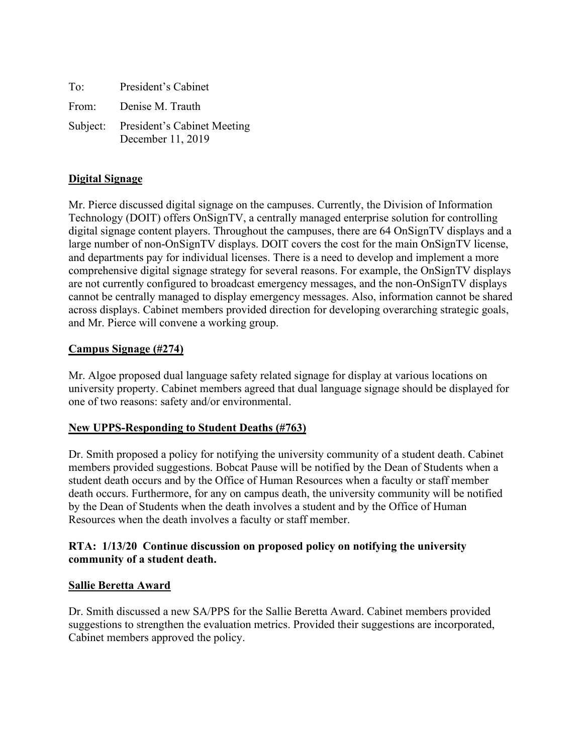| To:   | President's Cabinet                                       |
|-------|-----------------------------------------------------------|
| From: | Denise M. Trauth                                          |
|       | Subject: President's Cabinet Meeting<br>December 11, 2019 |

# **Digital Signage**

Mr. Pierce discussed digital signage on the campuses. Currently, the Division of Information Technology (DOIT) offers OnSignTV, a centrally managed enterprise solution for controlling digital signage content players. Throughout the campuses, there are 64 OnSignTV displays and a large number of non-OnSignTV displays. DOIT covers the cost for the main OnSignTV license, and departments pay for individual licenses. There is a need to develop and implement a more comprehensive digital signage strategy for several reasons. For example, the OnSignTV displays are not currently configured to broadcast emergency messages, and the non-OnSignTV displays cannot be centrally managed to display emergency messages. Also, information cannot be shared across displays. Cabinet members provided direction for developing overarching strategic goals, and Mr. Pierce will convene a working group.

#### **Campus Signage (#274)**

Mr. Algoe proposed dual language safety related signage for display at various locations on university property. Cabinet members agreed that dual language signage should be displayed for one of two reasons: safety and/or environmental.

# **New UPPS-Responding to Student Deaths (#763)**

Dr. Smith proposed a policy for notifying the university community of a student death. Cabinet members provided suggestions. Bobcat Pause will be notified by the Dean of Students when a student death occurs and by the Office of Human Resources when a faculty or staff member death occurs. Furthermore, for any on campus death, the university community will be notified by the Dean of Students when the death involves a student and by the Office of Human Resources when the death involves a faculty or staff member.

#### **RTA: 1/13/20 Continue discussion on proposed policy on notifying the university community of a student death.**

#### **Sallie Beretta Award**

Dr. Smith discussed a new SA/PPS for the Sallie Beretta Award. Cabinet members provided suggestions to strengthen the evaluation metrics. Provided their suggestions are incorporated, Cabinet members approved the policy.